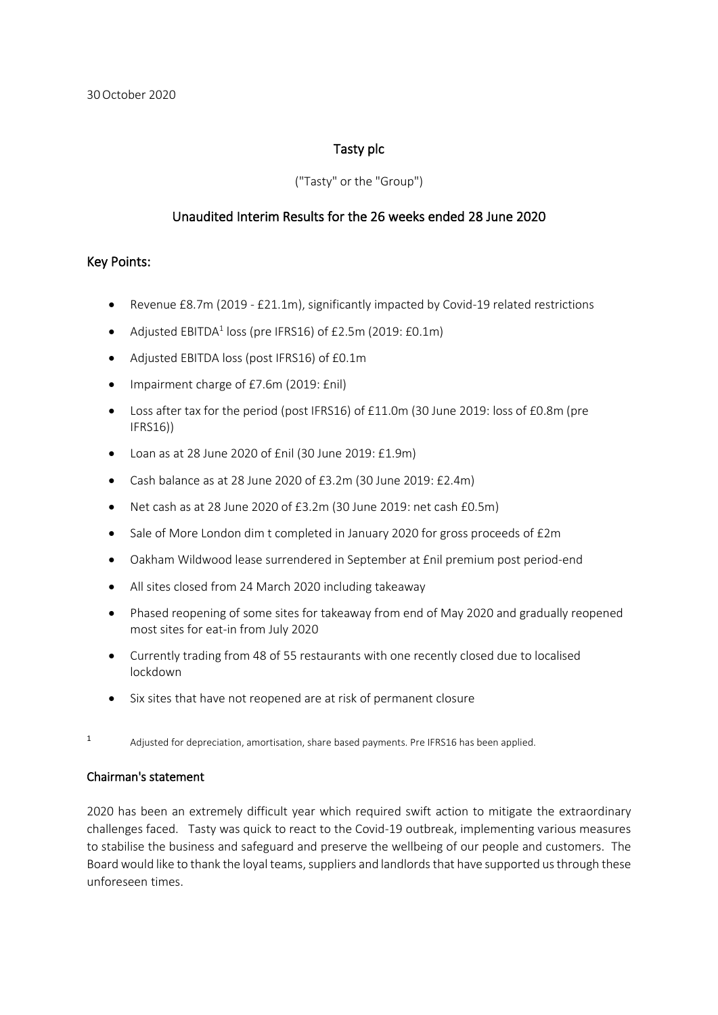### Tasty plc

### ("Tasty" or the "Group")

### Unaudited Interim Results for the 26 weeks ended 28 June 2020

### Key Points:

- Revenue £8.7m (2019 £21.1m), significantly impacted by Covid-19 related restrictions
- Adjusted  $EBITDA<sup>1</sup>$  loss (pre IFRS16) of £2.5m (2019: £0.1m)
- Adjusted EBITDA loss (post IFRS16) of £0.1m
- Impairment charge of £7.6m (2019: £nil)
- Loss after tax for the period (post IFRS16) of £11.0m (30 June 2019: loss of £0.8m (pre IFRS16))
- Loan as at 28 June 2020 of £nil (30 June 2019: £1.9m)
- Cash balance as at 28 June 2020 of £3.2m (30 June 2019: £2.4m)
- Net cash as at 28 June 2020 of £3.2m (30 June 2019: net cash £0.5m)
- Sale of More London dim t completed in January 2020 for gross proceeds of £2m
- Oakham Wildwood lease surrendered in September at £nil premium post period-end
- All sites closed from 24 March 2020 including takeaway
- Phased reopening of some sites for takeaway from end of May 2020 and gradually reopened most sites for eat-in from July 2020
- Currently trading from 48 of 55 restaurants with one recently closed due to localised lockdown
- Six sites that have not reopened are at risk of permanent closure
- <sup>1</sup> Adjusted for depreciation, amortisation, share based payments. Pre IFRS16 has been applied.

### Chairman's statement

2020 has been an extremely difficult year which required swift action to mitigate the extraordinary challenges faced. Tasty was quick to react to the Covid-19 outbreak, implementing various measures to stabilise the business and safeguard and preserve the wellbeing of our people and customers. The Board would like to thank the loyal teams, suppliers and landlords that have supported us through these unforeseen times.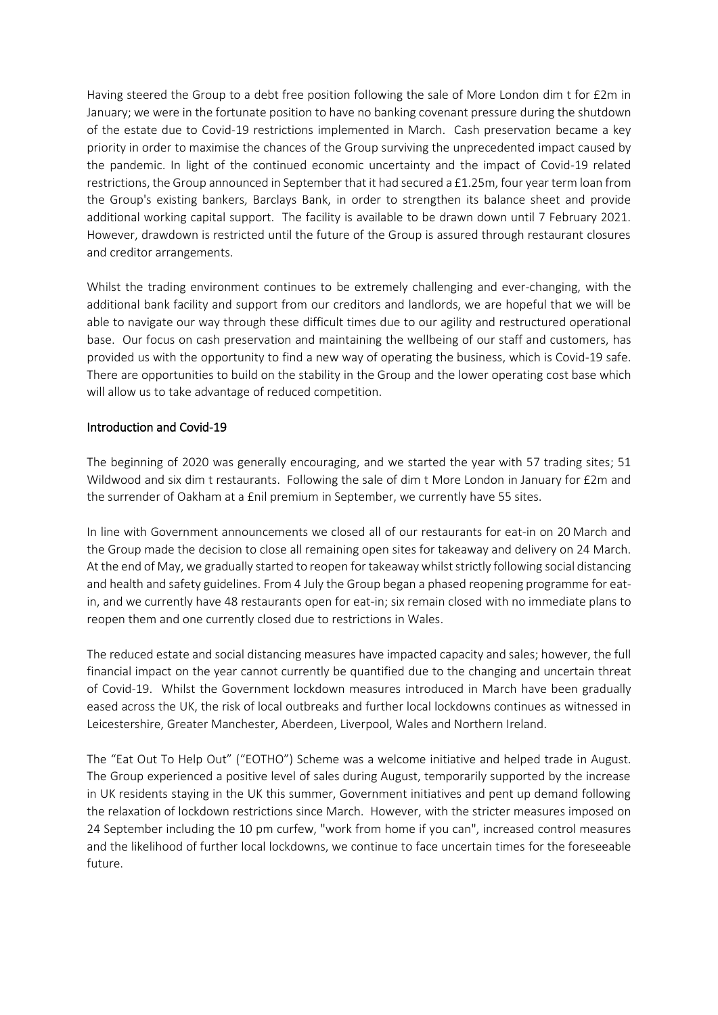Having steered the Group to a debt free position following the sale of More London dim t for £2m in January; we were in the fortunate position to have no banking covenant pressure during the shutdown of the estate due to Covid-19 restrictions implemented in March. Cash preservation became a key priority in order to maximise the chances of the Group surviving the unprecedented impact caused by the pandemic. In light of the continued economic uncertainty and the impact of Covid-19 related restrictions, the Group announced in September that it had secured a £1.25m, four year term loan from the Group's existing bankers, Barclays Bank, in order to strengthen its balance sheet and provide additional working capital support. The facility is available to be drawn down until 7 February 2021. However, drawdown is restricted until the future of the Group is assured through restaurant closures and creditor arrangements.

Whilst the trading environment continues to be extremely challenging and ever-changing, with the additional bank facility and support from our creditors and landlords, we are hopeful that we will be able to navigate our way through these difficult times due to our agility and restructured operational base. Our focus on cash preservation and maintaining the wellbeing of our staff and customers, has provided us with the opportunity to find a new way of operating the business, which is Covid-19 safe. There are opportunities to build on the stability in the Group and the lower operating cost base which will allow us to take advantage of reduced competition.

### Introduction and Covid-19

The beginning of 2020 was generally encouraging, and we started the year with 57 trading sites; 51 Wildwood and six dim t restaurants. Following the sale of dim t More London in January for £2m and the surrender of Oakham at a £nil premium in September, we currently have 55 sites.

In line with Government announcements we closed all of our restaurants for eat-in on 20 March and the Group made the decision to close all remaining open sites for takeaway and delivery on 24 March. At the end of May, we gradually started to reopen for takeaway whilst strictly following social distancing and health and safety guidelines. From 4 July the Group began a phased reopening programme for eatin, and we currently have 48 restaurants open for eat-in; six remain closed with no immediate plans to reopen them and one currently closed due to restrictions in Wales.

The reduced estate and social distancing measures have impacted capacity and sales; however, the full financial impact on the year cannot currently be quantified due to the changing and uncertain threat of Covid-19. Whilst the Government lockdown measures introduced in March have been gradually eased across the UK, the risk of local outbreaks and further local lockdowns continues as witnessed in Leicestershire, Greater Manchester, Aberdeen, Liverpool, Wales and Northern Ireland.

The "Eat Out To Help Out" ("EOTHO") Scheme was a welcome initiative and helped trade in August. The Group experienced a positive level of sales during August, temporarily supported by the increase in UK residents staying in the UK this summer, Government initiatives and pent up demand following the relaxation of lockdown restrictions since March. However, with the stricter measures imposed on 24 September including the 10 pm curfew, "work from home if you can", increased control measures and the likelihood of further local lockdowns, we continue to face uncertain times for the foreseeable future.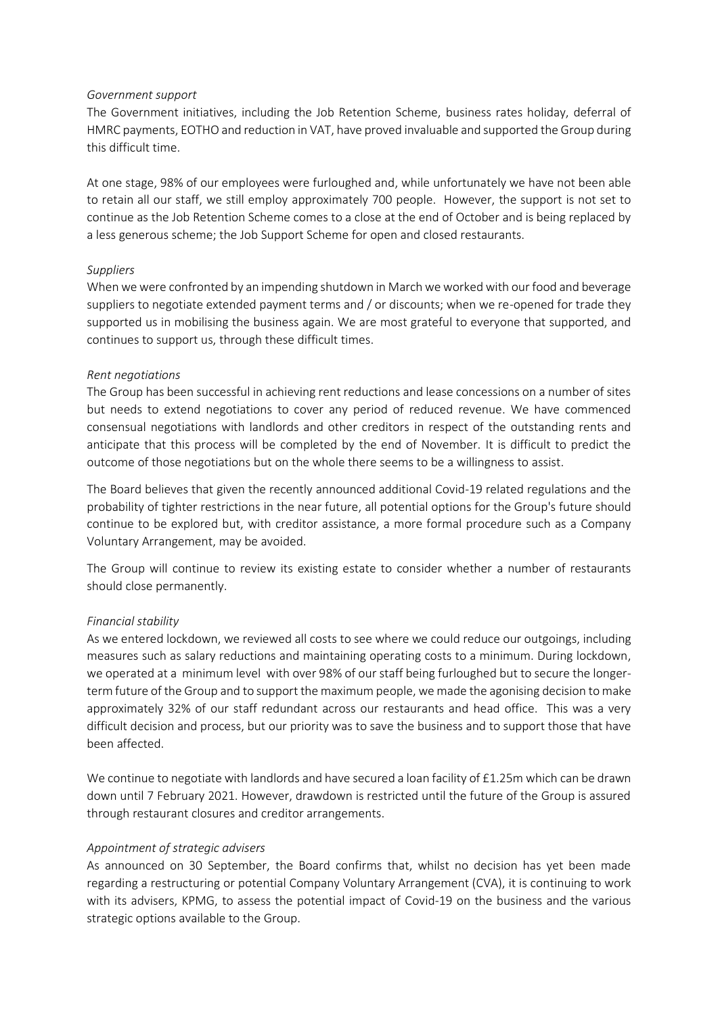#### *Government support*

The Government initiatives, including the Job Retention Scheme, business rates holiday, deferral of HMRC payments, EOTHO and reduction in VAT, have proved invaluable and supported the Group during this difficult time.

At one stage, 98% of our employees were furloughed and, while unfortunately we have not been able to retain all our staff, we still employ approximately 700 people. However, the support is not set to continue as the Job Retention Scheme comes to a close at the end of October and is being replaced by a less generous scheme; the Job Support Scheme for open and closed restaurants.

### *Suppliers*

When we were confronted by an impending shutdown in March we worked with our food and beverage suppliers to negotiate extended payment terms and / or discounts; when we re-opened for trade they supported us in mobilising the business again. We are most grateful to everyone that supported, and continues to support us, through these difficult times.

### *Rent negotiations*

The Group has been successful in achieving rent reductions and lease concessions on a number of sites but needs to extend negotiations to cover any period of reduced revenue. We have commenced consensual negotiations with landlords and other creditors in respect of the outstanding rents and anticipate that this process will be completed by the end of November. It is difficult to predict the outcome of those negotiations but on the whole there seems to be a willingness to assist.

The Board believes that given the recently announced additional Covid-19 related regulations and the probability of tighter restrictions in the near future, all potential options for the Group's future should continue to be explored but, with creditor assistance, a more formal procedure such as a Company Voluntary Arrangement, may be avoided.

The Group will continue to review its existing estate to consider whether a number of restaurants should close permanently.

### *Financial stability*

As we entered lockdown, we reviewed all costs to see where we could reduce our outgoings, including measures such as salary reductions and maintaining operating costs to a minimum. During lockdown, we operated at a minimum level with over 98% of our staff being furloughed but to secure the longerterm future of the Group and to support the maximum people, we made the agonising decision to make approximately 32% of our staff redundant across our restaurants and head office. This was a very difficult decision and process, but our priority was to save the business and to support those that have been affected.

We continue to negotiate with landlords and have secured a loan facility of £1.25m which can be drawn down until 7 February 2021. However, drawdown is restricted until the future of the Group is assured through restaurant closures and creditor arrangements.

### *Appointment of strategic advisers*

As announced on 30 September, the Board confirms that, whilst no decision has yet been made regarding a restructuring or potential Company Voluntary Arrangement (CVA), it is continuing to work with its advisers, KPMG, to assess the potential impact of Covid-19 on the business and the various strategic options available to the Group.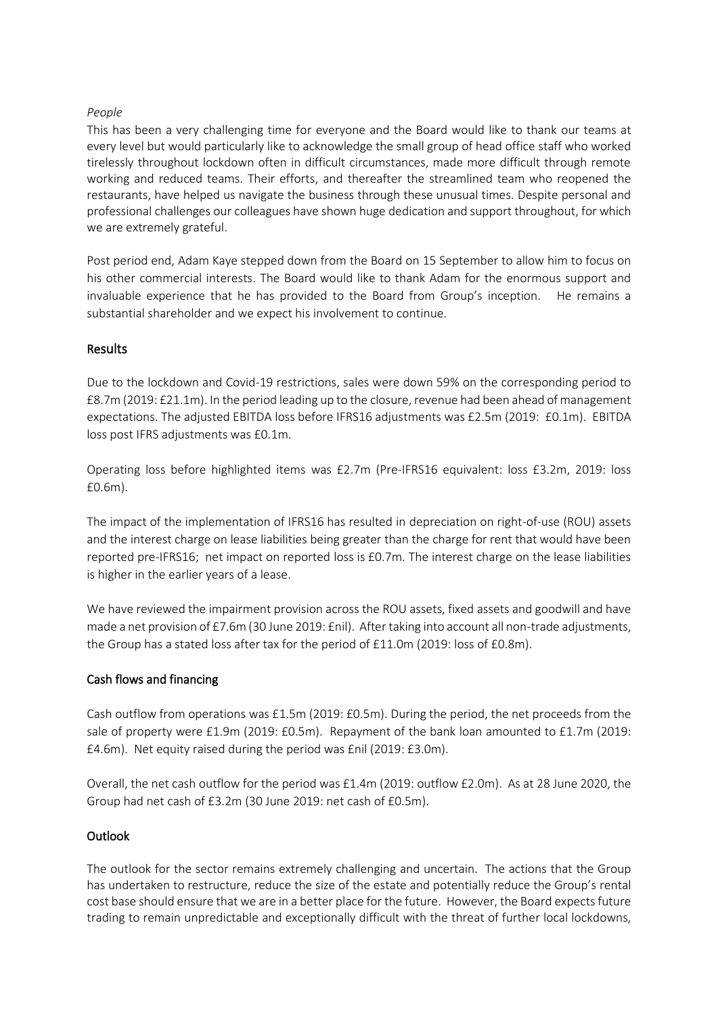### *People*

This has been a very challenging time for everyone and the Board would like to thank our teams at every level but would particularly like to acknowledge the small group of head office staff who worked tirelessly throughout lockdown often in difficult circumstances, made more difficult through remote working and reduced teams. Their efforts, and thereafter the streamlined team who reopened the restaurants, have helped us navigate the business through these unusual times. Despite personal and professional challenges our colleagues have shown huge dedication and support throughout, for which we are extremely grateful.

Post period end, Adam Kaye stepped down from the Board on 15 September to allow him to focus on his other commercial interests. The Board would like to thank Adam for the enormous support and invaluable experience that he has provided to the Board from Group's inception. He remains a substantial shareholder and we expect his involvement to continue.

### Results

Due to the lockdown and Covid-19 restrictions, sales were down 59% on the corresponding period to £8.7m (2019: £21.1m). In the period leading up to the closure, revenue had been ahead of management expectations. The adjusted EBITDA loss before IFRS16 adjustments was £2.5m (2019: £0.1m). EBITDA loss post IFRS adjustments was £0.1m.

Operating loss before highlighted items was £2.7m (Pre-IFRS16 equivalent: loss £3.2m, 2019: loss £0.6m).

The impact of the implementation of IFRS16 has resulted in depreciation on right-of-use (ROU) assets and the interest charge on lease liabilities being greater than the charge for rent that would have been reported pre-IFRS16; net impact on reported loss is £0.7m. The interest charge on the lease liabilities is higher in the earlier years of a lease.

We have reviewed the impairment provision across the ROU assets, fixed assets and goodwill and have made a net provision of £7.6m (30 June 2019: £nil). After taking into account all non-trade adjustments, the Group has a stated loss after tax for the period of £11.0m (2019: loss of £0.8m).

### Cash flows and financing

Cash outflow from operations was £1.5m (2019: £0.5m). During the period, the net proceeds from the sale of property were £1.9m (2019: £0.5m). Repayment of the bank loan amounted to £1.7m (2019: £4.6m). Net equity raised during the period was £nil (2019: £3.0m).

Overall, the net cash outflow for the period was £1.4m (2019: outflow £2.0m). As at 28 June 2020, the Group had net cash of £3.2m (30 June 2019: net cash of £0.5m).

### **Outlook**

The outlook for the sector remains extremely challenging and uncertain. The actions that the Group has undertaken to restructure, reduce the size of the estate and potentially reduce the Group's rental cost base should ensure that we are in a better place for the future. However, the Board expects future trading to remain unpredictable and exceptionally difficult with the threat of further local lockdowns,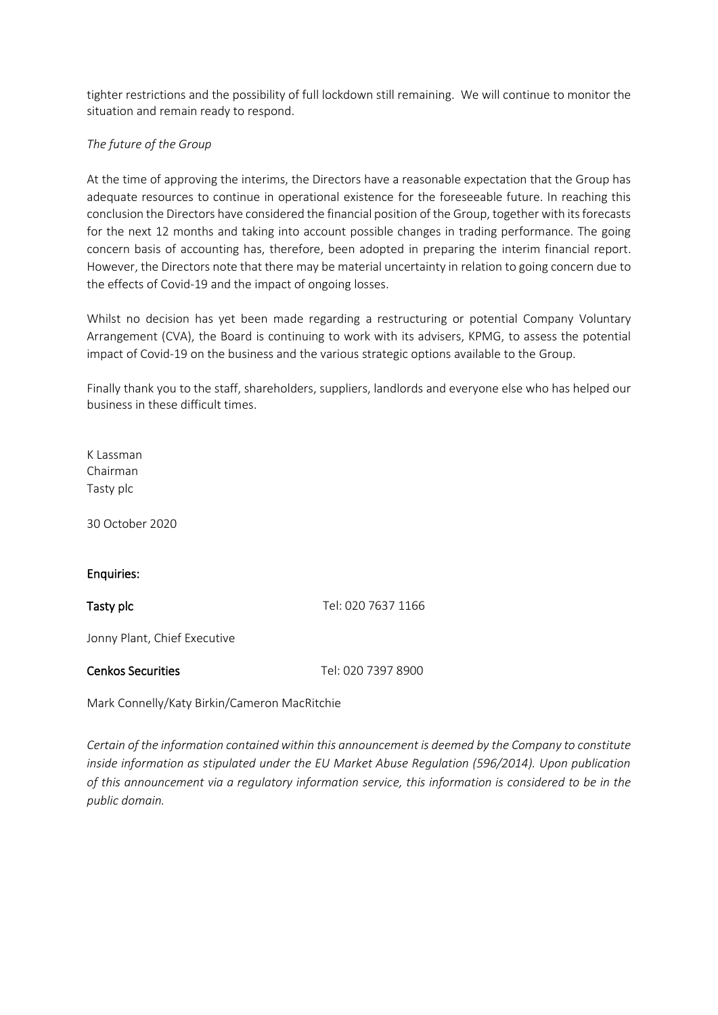tighter restrictions and the possibility of full lockdown still remaining. We will continue to monitor the situation and remain ready to respond.

### *The future of the Group*

At the time of approving the interims, the Directors have a reasonable expectation that the Group has adequate resources to continue in operational existence for the foreseeable future. In reaching this conclusion the Directors have considered the financial position of the Group, together with its forecasts for the next 12 months and taking into account possible changes in trading performance. The going concern basis of accounting has, therefore, been adopted in preparing the interim financial report. However, the Directors note that there may be material uncertainty in relation to going concern due to the effects of Covid-19 and the impact of ongoing losses.

Whilst no decision has yet been made regarding a restructuring or potential Company Voluntary Arrangement (CVA), the Board is continuing to work with its advisers, KPMG, to assess the potential impact of Covid-19 on the business and the various strategic options available to the Group.

Finally thank you to the staff, shareholders, suppliers, landlords and everyone else who has helped our business in these difficult times.

K Lassman Chairman Tasty plc

30 October 2020

### Enquiries:

Tasty plc Tasty plc Tel: 020 7637 1166

Jonny Plant, Chief Executive

#### Cenkos Securities Tel: 020 7397 8900

Mark Connelly/Katy Birkin/Cameron MacRitchie

*Certain of the information contained within this announcement is deemed by the Company to constitute inside information as stipulated under the EU Market Abuse Regulation (596/2014). Upon publication of this announcement via a regulatory information service, this information is considered to be in the public domain.*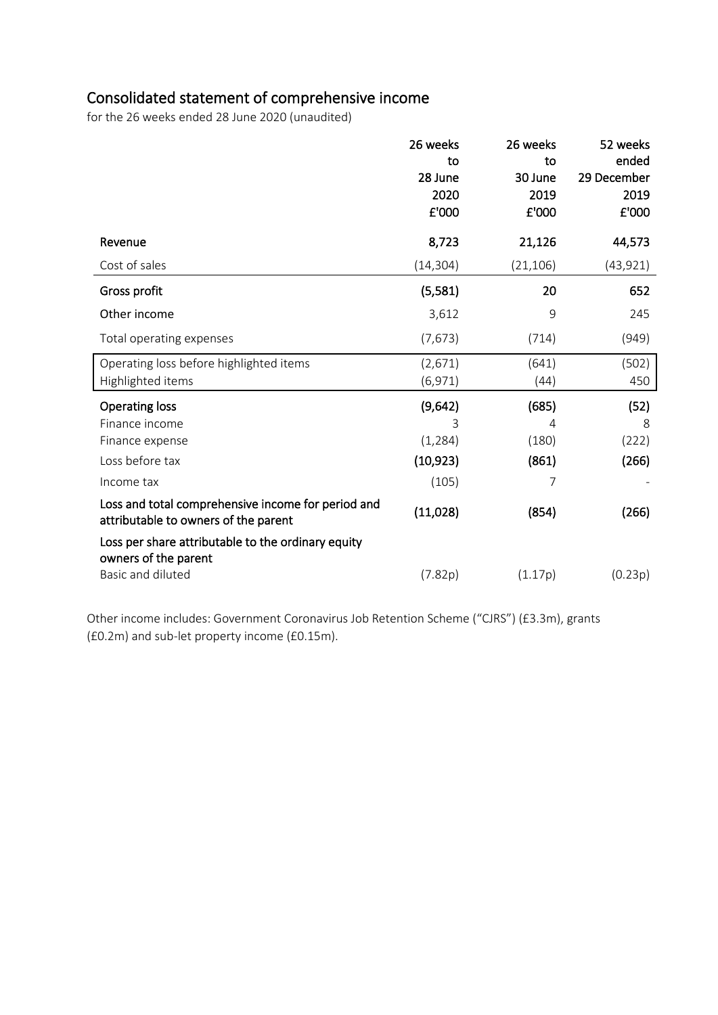# Consolidated statement of comprehensive income

for the 26 weeks ended 28 June 2020 (unaudited)

|                                                                                            | 26 weeks  | 26 weeks  | 52 weeks    |
|--------------------------------------------------------------------------------------------|-----------|-----------|-------------|
|                                                                                            | to        | to        | ended       |
|                                                                                            | 28 June   | 30 June   | 29 December |
|                                                                                            | 2020      | 2019      | 2019        |
|                                                                                            | £'000     | £'000     | £'000       |
| Revenue                                                                                    | 8,723     | 21,126    | 44,573      |
| Cost of sales                                                                              | (14, 304) | (21, 106) | (43, 921)   |
| Gross profit                                                                               | (5, 581)  | 20        | 652         |
| Other income                                                                               | 3,612     | 9         | 245         |
| Total operating expenses                                                                   | (7,673)   | (714)     | (949)       |
| Operating loss before highlighted items                                                    | (2,671)   | (641)     | (502)       |
| Highlighted items                                                                          | (6, 971)  | (44)      | 450         |
| <b>Operating loss</b>                                                                      | (9,642)   | (685)     | (52)        |
| Finance income                                                                             | 3         | 4         | 8           |
| Finance expense                                                                            | (1, 284)  | (180)     | (222)       |
| Loss before tax                                                                            | (10, 923) | (861)     | (266)       |
| Income tax                                                                                 | (105)     | 7         |             |
| Loss and total comprehensive income for period and<br>attributable to owners of the parent | (11,028)  | (854)     | (266)       |
| Loss per share attributable to the ordinary equity<br>owners of the parent                 |           |           |             |
| Basic and diluted                                                                          | (7.82p)   | (1.17p)   | (0.23p)     |

Other income includes: Government Coronavirus Job Retention Scheme ("CJRS") (£3.3m), grants (£0.2m) and sub-let property income (£0.15m).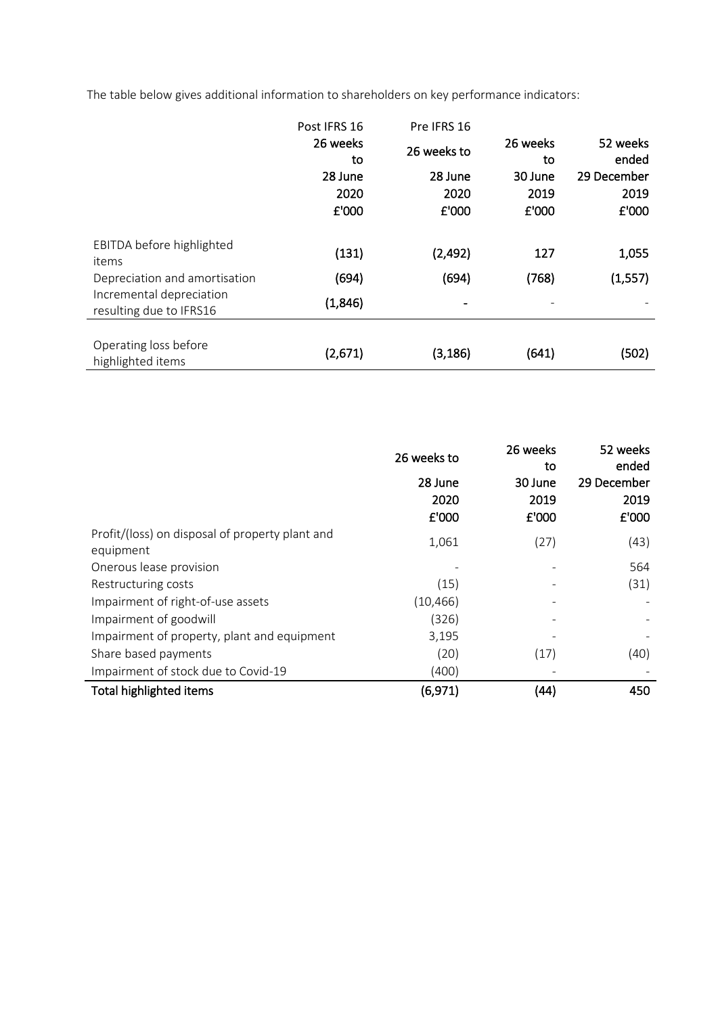The table below gives additional information to shareholders on key performance indicators:

|                                                                                                                            | Post IFRS 16              | Pre IFRS 16      |                |                   |
|----------------------------------------------------------------------------------------------------------------------------|---------------------------|------------------|----------------|-------------------|
|                                                                                                                            | 26 weeks<br>to            | 26 weeks to      | 26 weeks<br>to | 52 weeks<br>ended |
|                                                                                                                            | 28 June                   | 28 June          | 30 June        | 29 December       |
|                                                                                                                            | 2020                      | 2020             | 2019           | 2019              |
|                                                                                                                            | £'000                     | £'000            | £'000          | £'000             |
| EBITDA before highlighted<br>items<br>Depreciation and amortisation<br>Incremental depreciation<br>resulting due to IFRS16 | (131)<br>(694)<br>(1,846) | (2,492)<br>(694) | 127<br>(768)   | 1,055<br>(1, 557) |
| Operating loss before<br>highlighted items                                                                                 | (2,671)                   | (3, 186)         | (641)          | (502)             |

|                                                              | 26 weeks to | 26 weeks<br>to | 52 weeks<br>ended |
|--------------------------------------------------------------|-------------|----------------|-------------------|
|                                                              | 28 June     | 30 June        | 29 December       |
|                                                              | 2020        | 2019           | 2019              |
|                                                              | £'000       | £'000          | £'000             |
| Profit/(loss) on disposal of property plant and<br>equipment | 1,061       | (27)           | (43)              |
| Onerous lease provision                                      |             |                | 564               |
| Restructuring costs                                          | (15)        |                | (31)              |
| Impairment of right-of-use assets                            | (10, 466)   |                |                   |
| Impairment of goodwill                                       | (326)       |                |                   |
| Impairment of property, plant and equipment                  | 3,195       |                |                   |
| Share based payments                                         | (20)        | (17)           | (40)              |
| Impairment of stock due to Covid-19                          | (400)       |                |                   |
| Total highlighted items                                      | (6, 971)    | (44)           | 450               |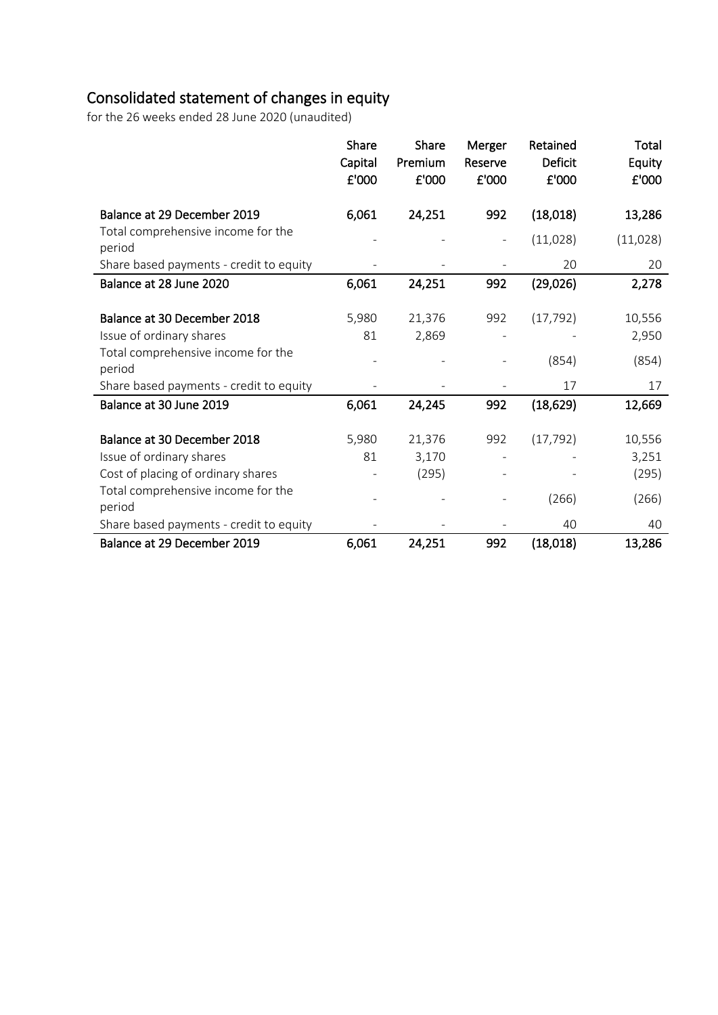# Consolidated statement of changes in equity

for the 26 weeks ended 28 June 2020 (unaudited)

|                                              | Share<br>Capital<br>£'000 | Share<br>Premium<br>£'000 | Merger<br>Reserve<br>£'000 | Retained<br>Deficit<br>£'000 | Total<br>Equity<br>£'000 |
|----------------------------------------------|---------------------------|---------------------------|----------------------------|------------------------------|--------------------------|
| Balance at 29 December 2019                  | 6,061                     | 24,251                    | 992                        | (18,018)                     | 13,286                   |
| Total comprehensive income for the<br>period |                           |                           | ÷                          | (11,028)                     | (11,028)                 |
| Share based payments - credit to equity      |                           |                           |                            | 20                           | 20                       |
| Balance at 28 June 2020                      | 6,061                     | 24,251                    | 992                        | (29,026)                     | 2,278                    |
|                                              |                           |                           |                            |                              |                          |
| Balance at 30 December 2018                  | 5,980                     | 21,376                    | 992                        | (17, 792)                    | 10,556                   |
| Issue of ordinary shares                     | 81                        | 2,869                     |                            |                              | 2,950                    |
| Total comprehensive income for the<br>period |                           |                           |                            | (854)                        | (854)                    |
| Share based payments - credit to equity      |                           |                           |                            | 17                           | 17                       |
| Balance at 30 June 2019                      | 6,061                     | 24,245                    | 992                        | (18, 629)                    | 12,669                   |
| Balance at 30 December 2018                  | 5,980                     | 21,376                    | 992                        | (17, 792)                    | 10,556                   |
| Issue of ordinary shares                     | 81                        | 3,170                     |                            |                              | 3,251                    |
| Cost of placing of ordinary shares           |                           | (295)                     |                            |                              | (295)                    |
| Total comprehensive income for the<br>period |                           |                           |                            | (266)                        | (266)                    |
| Share based payments - credit to equity      |                           |                           |                            | 40                           | 40                       |
| Balance at 29 December 2019                  | 6,061                     | 24,251                    | 992                        | (18, 018)                    | 13,286                   |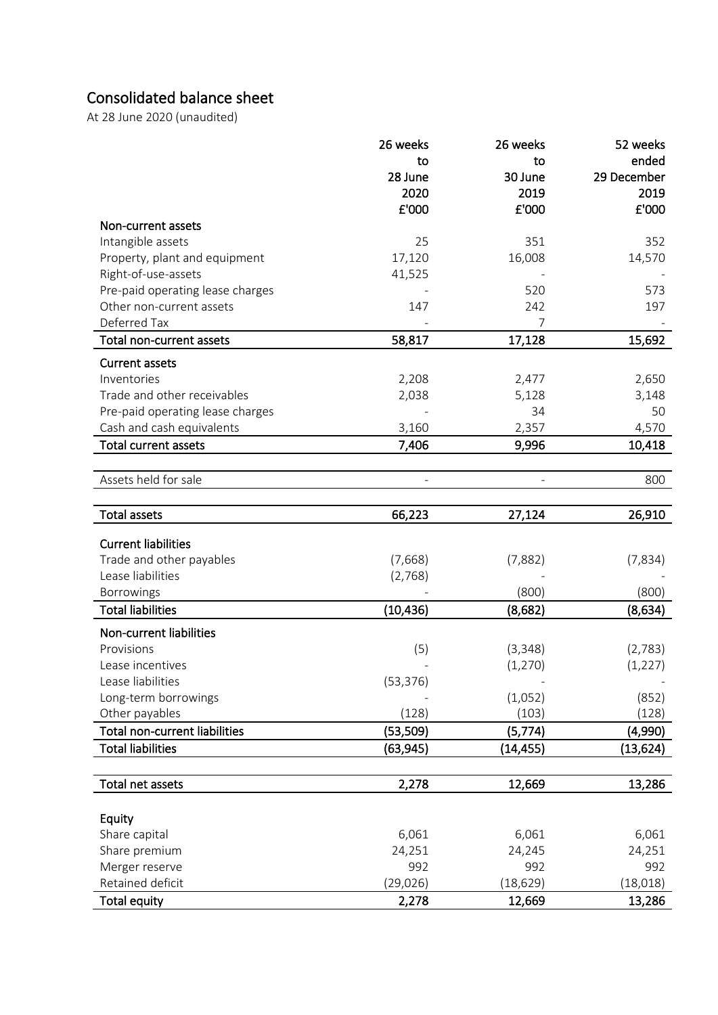# Consolidated balance sheet

At 28 June <sup>2020</sup> (unaudited)

|                                      | 26 weeks  | 26 weeks  | 52 weeks    |
|--------------------------------------|-----------|-----------|-------------|
|                                      | to        | to        | ended       |
|                                      | 28 June   | 30 June   | 29 December |
|                                      | 2020      | 2019      | 2019        |
|                                      | £'000     | £'000     | £'000       |
| Non-current assets                   |           |           |             |
| Intangible assets                    | 25        | 351       | 352         |
| Property, plant and equipment        | 17,120    | 16,008    | 14,570      |
| Right-of-use-assets                  | 41,525    |           |             |
| Pre-paid operating lease charges     |           | 520       | 573         |
| Other non-current assets             | 147       | 242       | 197         |
| Deferred Tax                         |           | 7         |             |
| Total non-current assets             | 58,817    | 17,128    | 15,692      |
| <b>Current assets</b>                |           |           |             |
| Inventories                          | 2,208     | 2,477     | 2,650       |
| Trade and other receivables          | 2,038     | 5,128     | 3,148       |
| Pre-paid operating lease charges     |           | 34        | 50          |
| Cash and cash equivalents            | 3,160     | 2,357     | 4,570       |
| <b>Total current assets</b>          | 7,406     | 9,996     | 10,418      |
|                                      |           |           |             |
| Assets held for sale                 |           |           | 800         |
|                                      |           |           |             |
| <b>Total assets</b>                  | 66,223    | 27,124    | 26,910      |
|                                      |           |           |             |
| <b>Current liabilities</b>           |           |           |             |
| Trade and other payables             | (7,668)   | (7,882)   | (7,834)     |
| Lease liabilities                    | (2,768)   |           |             |
| Borrowings                           |           | (800)     | (800)       |
| <b>Total liabilities</b>             | (10, 436) | (8,682)   | (8,634)     |
| Non-current liabilities              |           |           |             |
| Provisions                           | (5)       | (3, 348)  | (2,783)     |
| Lease incentives                     |           | (1, 270)  | (1, 227)    |
| Lease liabilities                    | (53, 376) |           |             |
| Long-term borrowings                 |           | (1,052)   | (852)       |
| Other payables                       | (128)     | (103)     | (128)       |
| <b>Total non-current liabilities</b> | (53, 509) | (5, 774)  | (4,990)     |
| <b>Total liabilities</b>             | (63,945)  | (14, 455) | (13, 624)   |
|                                      |           |           |             |
| Total net assets                     | 2,278     | 12,669    | 13,286      |
|                                      |           |           |             |
| Equity                               |           |           |             |
| Share capital                        | 6,061     | 6,061     | 6,061       |
| Share premium                        | 24,251    | 24,245    | 24,251      |
| Merger reserve                       | 992       | 992       | 992         |
| Retained deficit                     | (29, 026) | (18, 629) | (18, 018)   |
| <b>Total equity</b>                  | 2,278     | 12,669    | 13,286      |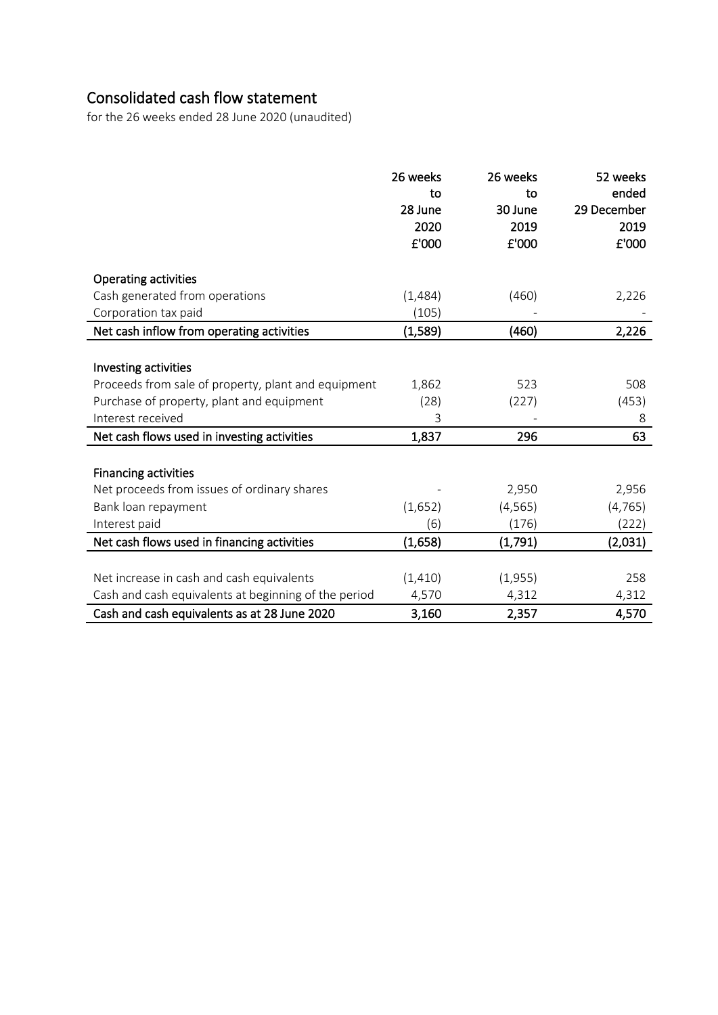# Consolidated cash flow statement

for the 26 weeks ended 28 June 2020 (unaudited)

|                                                      | 26 weeks<br>to<br>28 June<br>2020<br>£'000 | 26 weeks<br>to<br>30 June<br>2019<br>£'000 | 52 weeks<br>ended<br>29 December<br>2019<br>£'000 |
|------------------------------------------------------|--------------------------------------------|--------------------------------------------|---------------------------------------------------|
| <b>Operating activities</b>                          |                                            |                                            |                                                   |
| Cash generated from operations                       | (1,484)                                    | (460)                                      | 2,226                                             |
| Corporation tax paid                                 | (105)                                      |                                            |                                                   |
| Net cash inflow from operating activities            | (1,589)                                    | (460)                                      | 2,226                                             |
|                                                      |                                            |                                            |                                                   |
| Investing activities                                 |                                            |                                            |                                                   |
| Proceeds from sale of property, plant and equipment  | 1,862                                      | 523                                        | 508                                               |
| Purchase of property, plant and equipment            | (28)                                       | (227)                                      | (453)                                             |
| Interest received                                    | 3                                          |                                            | 8                                                 |
| Net cash flows used in investing activities          | 1,837                                      | 296                                        | 63                                                |
|                                                      |                                            |                                            |                                                   |
| <b>Financing activities</b>                          |                                            |                                            |                                                   |
| Net proceeds from issues of ordinary shares          |                                            | 2,950                                      | 2,956                                             |
| Bank loan repayment                                  | (1,652)                                    | (4, 565)                                   | (4, 765)                                          |
| Interest paid                                        | (6)                                        | (176)                                      | (222)                                             |
| Net cash flows used in financing activities          | (1,658)                                    | (1,791)                                    | (2,031)                                           |
|                                                      |                                            |                                            |                                                   |
| Net increase in cash and cash equivalents            | (1, 410)                                   | (1,955)                                    | 258                                               |
| Cash and cash equivalents at beginning of the period | 4,570                                      | 4,312                                      | 4,312                                             |
| Cash and cash equivalents as at 28 June 2020         | 3,160                                      | 2,357                                      | 4,570                                             |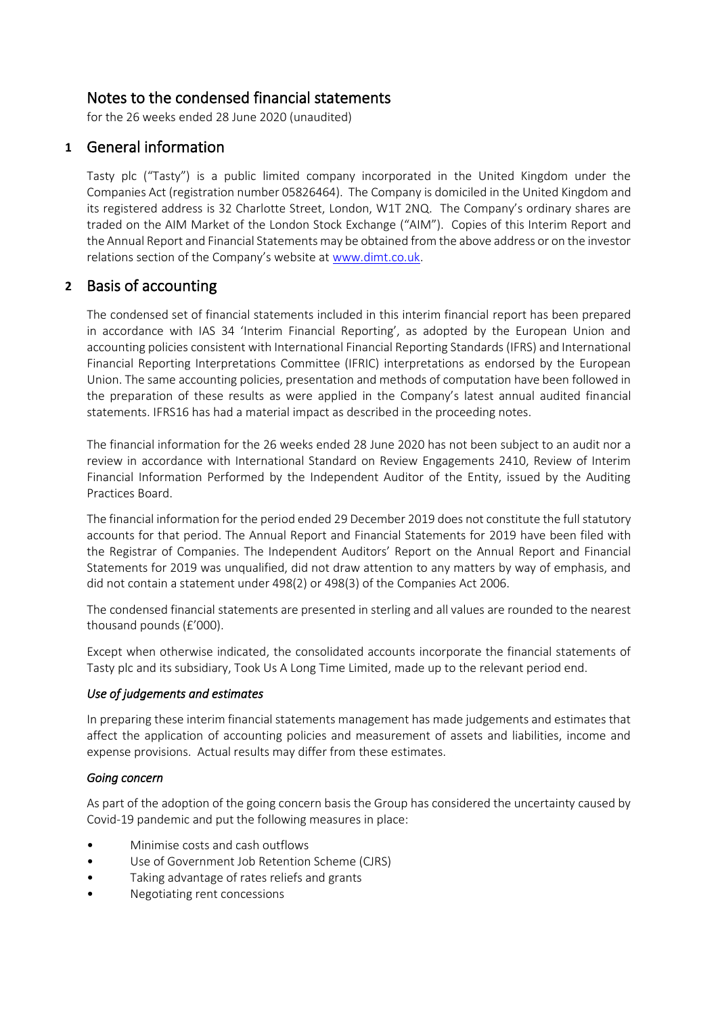# Notes to the condensed financial statements<br>for the 26 weeks ended 28 June 2020 (unaudited)

### **1** General information

Tasty plc ("Tasty") is a public limited company incorporated in the United Kingdom under the Companies Act (registration number 05826464). The Company is domiciled in the United Kingdom and its registered address is 32 Charlotte Street, London, W1T 2NQ. The Company's ordinary shares are traded on the AIM Market of the London Stock Exchange ("AIM"). Copies of this Interim Report and the Annual Report and Financial Statements may be obtained from the above address or on the investor relations section of the Company's website at [www.dimt.co.uk.](http://www.dimt.co.uk/)

### **2** Basis of accounting

The condensed set of financial statements included in this interim financial report has been prepared in accordance with IAS 34 'Interim Financial Reporting', as adopted by the European Union and accounting policies consistent with International Financial Reporting Standards (IFRS) and International Financial Reporting Interpretations Committee (IFRIC) interpretations as endorsed by the European Union. The same accounting policies, presentation and methods of computation have been followed in the preparation of these results as were applied in the Company's latest annual audited financial statements. IFRS16 has had a material impact as described in the proceeding notes.

The financial information for the 26 weeks ended 28 June 2020 has not been subject to an audit nor a review in accordance with International Standard on Review Engagements 2410, Review of Interim Financial Information Performed by the Independent Auditor of the Entity, issued by the Auditing Practices Board.

The financial information for the period ended 29 December 2019 does not constitute the full statutory accounts for that period. The Annual Report and Financial Statements for 2019 have been filed with the Registrar of Companies. The Independent Auditors' Report on the Annual Report and Financial Statements for 2019 was unqualified, did not draw attention to any matters by way of emphasis, and did not contain a statement under 498(2) or 498(3) of the Companies Act 2006.

The condensed financial statements are presented in sterling and all values are rounded to the nearest thousand pounds (£'000).

Except when otherwise indicated, the consolidated accounts incorporate the financial statements of Tasty plc and its subsidiary, Took Us A Long Time Limited, made up to the relevant period end.

### *Use of judgements and estimates*

In preparing these interim financial statements management has made judgements and estimates that affect the application of accounting policies and measurement of assets and liabilities, income and expense provisions. Actual results may differ from these estimates.

### *Going concern*

As part of the adoption of the going concern basis the Group has considered the uncertainty caused by Covid-19 pandemic and put the following measures in place:

- Minimise costs and cash outflows
- Use of Government Job Retention Scheme (CJRS)
- Taking advantage of rates reliefs and grants
- Negotiating rent concessions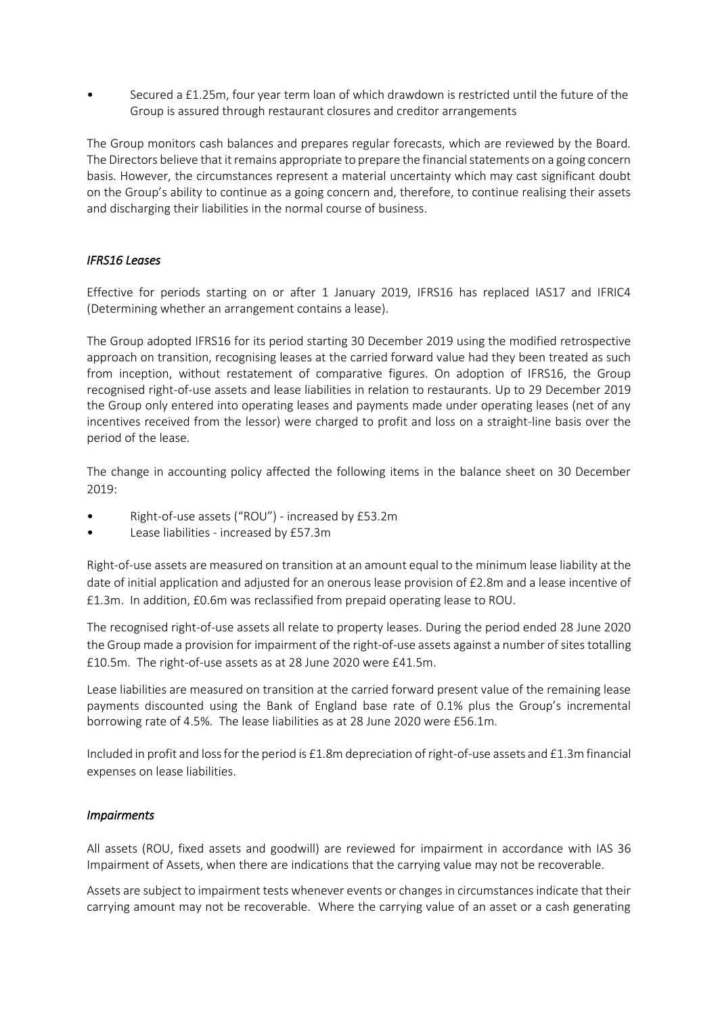• Secured a £1.25m, four year term loan of which drawdown is restricted until the future of the Group is assured through restaurant closures and creditor arrangements

The Group monitors cash balances and prepares regular forecasts, which are reviewed by the Board. The Directors believe that it remains appropriate to prepare the financial statements on a going concern basis. However, the circumstances represent a material uncertainty which may cast significant doubt on the Group's ability to continue as a going concern and, therefore, to continue realising their assets and discharging their liabilities in the normal course of business.

### *IFRS16 Leases*

Effective for periods starting on or after 1 January 2019, IFRS16 has replaced IAS17 and IFRIC4 (Determining whether an arrangement contains a lease).

The Group adopted IFRS16 for its period starting 30 December 2019 using the modified retrospective approach on transition, recognising leases at the carried forward value had they been treated as such from inception, without restatement of comparative figures. On adoption of IFRS16, the Group recognised right-of-use assets and lease liabilities in relation to restaurants. Up to 29 December 2019 the Group only entered into operating leases and payments made under operating leases (net of any incentives received from the lessor) were charged to profit and loss on a straight-line basis over the period of the lease.

The change in accounting policy affected the following items in the balance sheet on 30 December 2019:

- Right-of-use assets ("ROU") increased by £53.2m
- Lease liabilities increased by £57.3m

Right-of-use assets are measured on transition at an amount equal to the minimum lease liability at the date of initial application and adjusted for an onerous lease provision of £2.8m and a lease incentive of £1.3m. In addition, £0.6m was reclassified from prepaid operating lease to ROU.

The recognised right-of-use assets all relate to property leases. During the period ended 28 June 2020 the Group made a provision for impairment of the right-of-use assets against a number of sites totalling £10.5m. The right-of-use assets as at 28 June 2020 were £41.5m.

Lease liabilities are measured on transition at the carried forward present value of the remaining lease payments discounted using the Bank of England base rate of 0.1% plus the Group's incremental borrowing rate of 4.5%. The lease liabilities as at 28 June 2020 were £56.1m.

Included in profit and loss for the period is £1.8m depreciation of right-of-use assets and £1.3m financial expenses on lease liabilities.

### *Impairments*

All assets (ROU, fixed assets and goodwill) are reviewed for impairment in accordance with IAS 36 Impairment of Assets, when there are indications that the carrying value may not be recoverable.

Assets are subject to impairment tests whenever events or changes in circumstances indicate that their carrying amount may not be recoverable. Where the carrying value of an asset or a cash generating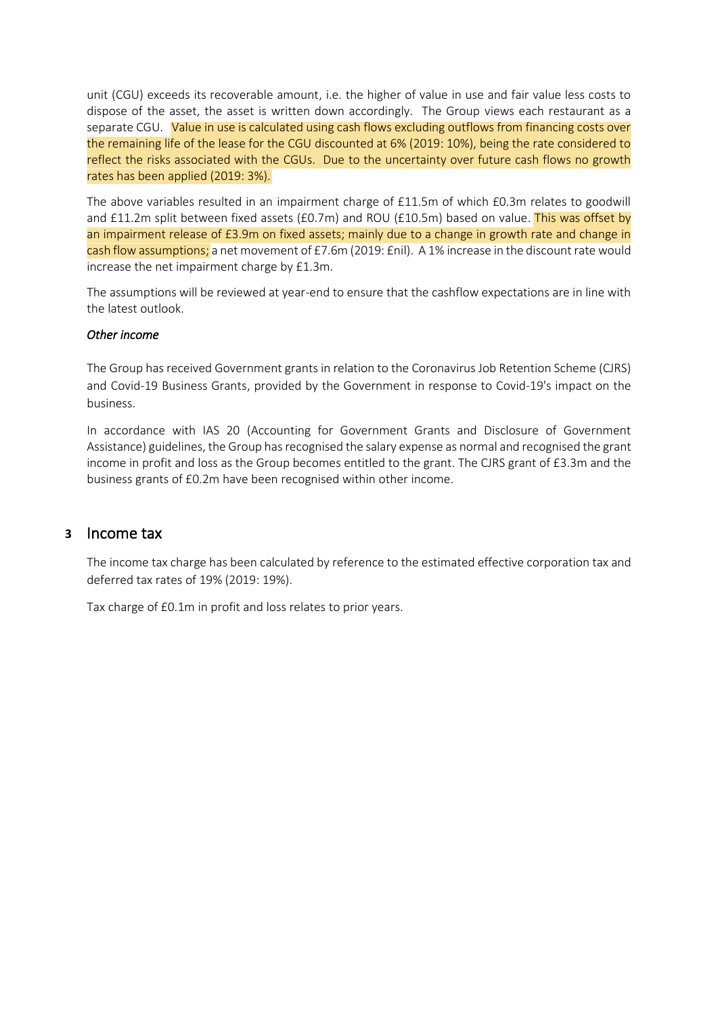unit (CGU) exceeds its recoverable amount, i.e. the higher of value in use and fair value less costs to dispose of the asset, the asset is written down accordingly. The Group views each restaurant as a separate CGU. Value in use is calculated using cash flows excluding outflows from financing costs over the remaining life of the lease for the CGU discounted at 6% (2019: 10%), being the rate considered to reflect the risks associated with the CGUs. Due to the uncertainty over future cash flows no growth rates has been applied (2019: 3%).

The above variables resulted in an impairment charge of £11.5m of which £0.3m relates to goodwill and £11.2m split between fixed assets (£0.7m) and ROU (£10.5m) based on value. This was offset by an impairment release of £3.9m on fixed assets; mainly due to a change in growth rate and change in cash flow assumptions; a net movement of £7.6m (2019: £nil). A 1% increase in the discount rate would increase the net impairment charge by £1.3m.

The assumptions will be reviewed at year-end to ensure that the cashflow expectations are in line with the latest outlook.

### *Other income*

The Group has received Government grants in relation to the Coronavirus Job Retention Scheme (CJRS) and Covid-19 Business Grants, provided by the Government in response to Covid-19's impact on the business.

In accordance with IAS 20 (Accounting for Government Grants and Disclosure of Government Assistance) guidelines, the Group has recognised the salary expense as normal and recognised the grant income in profit and loss as the Group becomes entitled to the grant. The CJRS grant of £3.3m and the business grants of £0.2m have been recognised within other income.

### **3** Income tax

The income tax charge has been calculated by reference to the estimated effective corporation tax and deferred tax rates of 19% (2019: 19%).

Tax charge of £0.1m in profit and loss relates to prior years.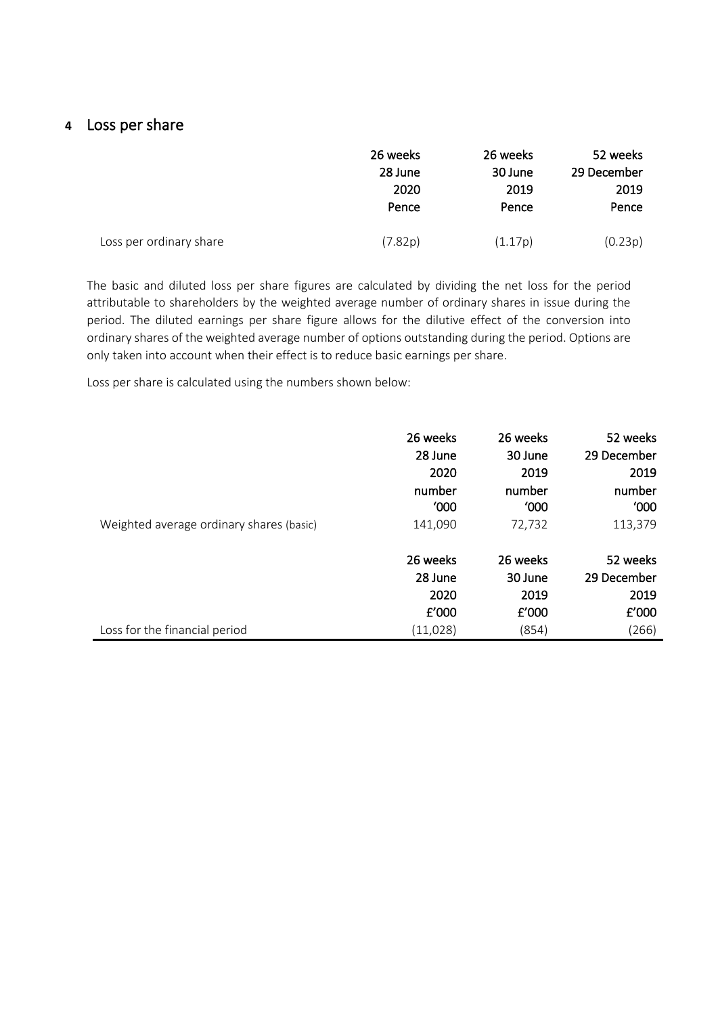### **4** Loss per share

|                         | 26 weeks | 26 weeks | 52 weeks    |
|-------------------------|----------|----------|-------------|
|                         | 28 June  | 30 June  | 29 December |
|                         | 2020     | 2019     | 2019        |
|                         | Pence    | Pence    | Pence       |
| Loss per ordinary share | (7.82p)  | (1.17p)  | (0.23p)     |

The basic and diluted loss per share figures are calculated by dividing the net loss for the period attributable to shareholders by the weighted average number of ordinary shares in issue during the period. The diluted earnings per share figure allows for the dilutive effect of the conversion into ordinary shares of the weighted average number of options outstanding during the period. Options are only taken into account when their effect is to reduce basic earnings per share.

Loss per share is calculated using the numbers shown below:

| Weighted average ordinary shares (basic) | 26 weeks | 26 weeks | 52 weeks    |
|------------------------------------------|----------|----------|-------------|
|                                          | 28 June  | 30 June  | 29 December |
|                                          | 2020     | 2019     | 2019        |
|                                          | number   | number   | number      |
|                                          | '000     | '000     | '000        |
|                                          | 141,090  | 72,732   | 113,379     |
| Loss for the financial period            | 26 weeks | 26 weeks | 52 weeks    |
|                                          | 28 June  | 30 June  | 29 December |
|                                          | 2020     | 2019     | 2019        |
|                                          | E'000    | $E'$ 000 | £'000       |
|                                          | (11,028) | (854)    | (266)       |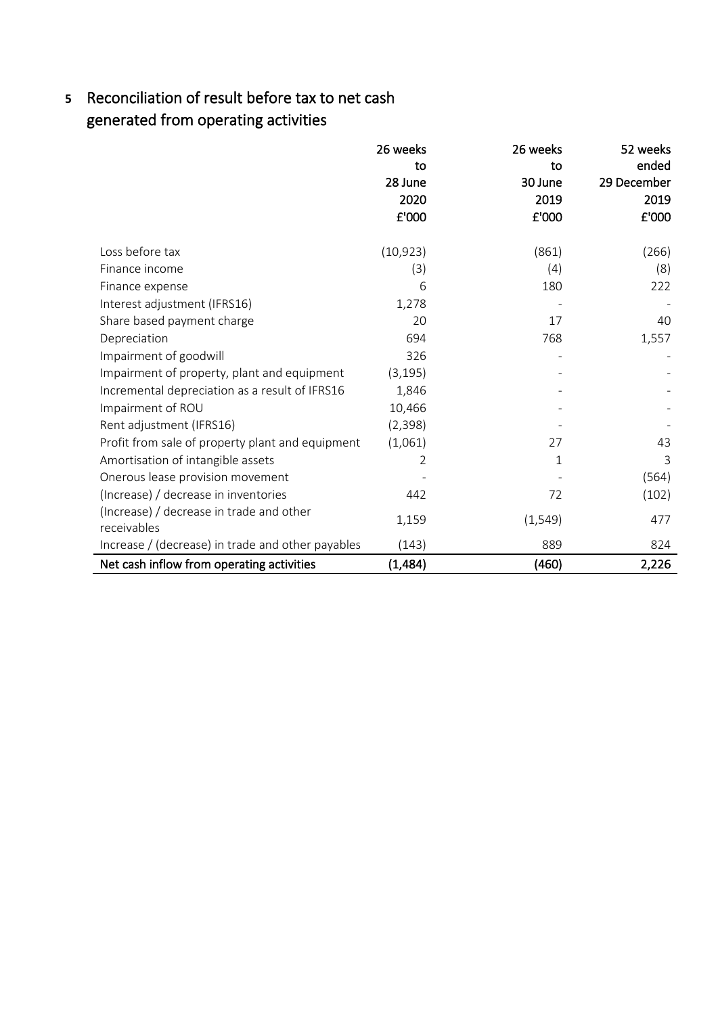# **5** Reconciliation of result before tax to net cash generated from operating activities

|                                                         | 26 weeks       | 26 weeks | 52 weeks    |
|---------------------------------------------------------|----------------|----------|-------------|
|                                                         | to             | to       | ended       |
|                                                         | 28 June        | 30 June  | 29 December |
|                                                         | 2020           | 2019     | 2019        |
|                                                         | £'000          | £'000    | £'000       |
| Loss before tax                                         | (10, 923)      | (861)    | (266)       |
| Finance income                                          | (3)            | (4)      | (8)         |
| Finance expense                                         | 6              | 180      | 222         |
| Interest adjustment (IFRS16)                            | 1,278          |          |             |
| Share based payment charge                              | 20             | 17       | 40          |
| Depreciation                                            | 694            | 768      | 1,557       |
| Impairment of goodwill                                  | 326            |          |             |
| Impairment of property, plant and equipment             | (3, 195)       |          |             |
| Incremental depreciation as a result of IFRS16          | 1,846          |          |             |
| Impairment of ROU                                       | 10,466         |          |             |
| Rent adjustment (IFRS16)                                | (2, 398)       |          |             |
| Profit from sale of property plant and equipment        | (1,061)        | 27       | 43          |
| Amortisation of intangible assets                       | $\overline{2}$ | 1        | 3           |
| Onerous lease provision movement                        |                |          | (564)       |
| (Increase) / decrease in inventories                    | 442            | 72       | (102)       |
| (Increase) / decrease in trade and other<br>receivables | 1,159          | (1, 549) | 477         |
| Increase / (decrease) in trade and other payables       | (143)          | 889      | 824         |
| Net cash inflow from operating activities               | (1,484)        | (460)    | 2,226       |